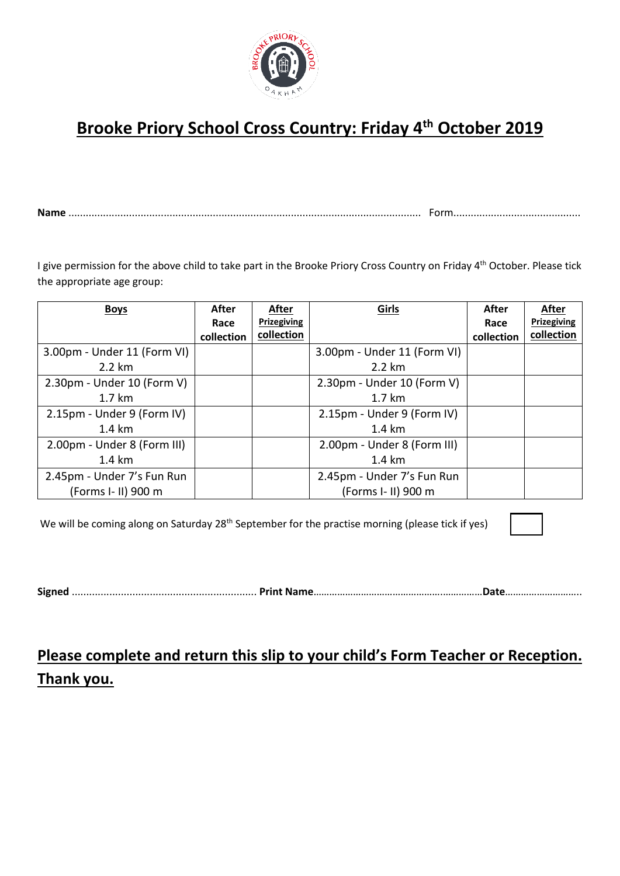

## **Brooke Priory School Cross Country: Friday 4th October 2019**

**Name** .......................................................................................................................... Form............................................

I give permission for the above child to take part in the Brooke Priory Cross Country on Friday 4<sup>th</sup> October. Please tick the appropriate age group:

| <b>Boys</b>                 | After      | After              | Girls                       | After      | After       |
|-----------------------------|------------|--------------------|-----------------------------|------------|-------------|
|                             | Race       | <b>Prizegiving</b> |                             | Race       | Prizegiving |
|                             | collection | collection         |                             | collection | collection  |
| 3.00pm - Under 11 (Form VI) |            |                    | 3.00pm - Under 11 (Form VI) |            |             |
| 2.2 km                      |            |                    | $2.2 \text{ km}$            |            |             |
| 2.30pm - Under 10 (Form V)  |            |                    | 2.30pm - Under 10 (Form V)  |            |             |
| $1.7 \mathrm{km}$           |            |                    | $1.7 \text{ km}$            |            |             |
| 2.15pm - Under 9 (Form IV)  |            |                    | 2.15pm - Under 9 (Form IV)  |            |             |
| 1.4 km                      |            |                    | $1.4 \text{ km}$            |            |             |
| 2.00pm - Under 8 (Form III) |            |                    | 2.00pm - Under 8 (Form III) |            |             |
| $1.4 \text{ km}$            |            |                    | $1.4 \text{ km}$            |            |             |
| 2.45pm - Under 7's Fun Run  |            |                    | 2.45pm - Under 7's Fun Run  |            |             |
| (Forms I- II) 900 m         |            |                    | (Forms I- II) 900 m         |            |             |

We will be coming along on Saturday 28<sup>th</sup> September for the practise morning (please tick if yes)



**Signed** ................................................................ **Print Name**………………………………………….……………**Date**………………………..

## **Please complete and return this slip to your child's Form Teacher or Reception. Thank you.**